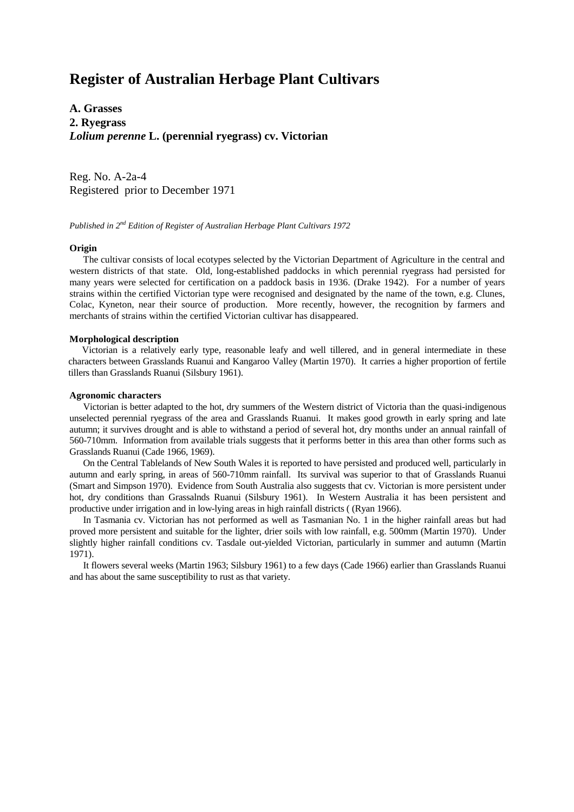# **Register of Australian Herbage Plant Cultivars**

**A. Grasses 2. Ryegrass** *Lolium perenne* **L. (perennial ryegrass) cv. Victorian**

Reg. No. A-2a-4 Registered prior to December 1971

## *Published in 2nd Edition of Register of Australian Herbage Plant Cultivars 1972*

### **Origin**

The cultivar consists of local ecotypes selected by the Victorian Department of Agriculture in the central and western districts of that state. Old, long-established paddocks in which perennial ryegrass had persisted for many years were selected for certification on a paddock basis in 1936. (Drake 1942). For a number of years strains within the certified Victorian type were recognised and designated by the name of the town, e.g. Clunes, Colac, Kyneton, near their source of production. More recently, however, the recognition by farmers and merchants of strains within the certified Victorian cultivar has disappeared.

#### **Morphological description**

Victorian is a relatively early type, reasonable leafy and well tillered, and in general intermediate in these characters between Grasslands Ruanui and Kangaroo Valley (Martin 1970). It carries a higher proportion of fertile tillers than Grasslands Ruanui (Silsbury 1961).

#### **Agronomic characters**

Victorian is better adapted to the hot, dry summers of the Western district of Victoria than the quasi-indigenous unselected perennial ryegrass of the area and Grasslands Ruanui. It makes good growth in early spring and late autumn; it survives drought and is able to withstand a period of several hot, dry months under an annual rainfall of 560-710mm. Information from available trials suggests that it performs better in this area than other forms such as Grasslands Ruanui (Cade 1966, 1969).

On the Central Tablelands of New South Wales it is reported to have persisted and produced well, particularly in autumn and early spring, in areas of 560-710mm rainfall. Its survival was superior to that of Grasslands Ruanui (Smart and Simpson 1970). Evidence from South Australia also suggests that cv. Victorian is more persistent under hot, dry conditions than Grassalnds Ruanui (Silsbury 1961). In Western Australia it has been persistent and productive under irrigation and in low-lying areas in high rainfall districts ( (Ryan 1966).

In Tasmania cv. Victorian has not performed as well as Tasmanian No. 1 in the higher rainfall areas but had proved more persistent and suitable for the lighter, drier soils with low rainfall, e.g. 500mm (Martin 1970). Under slightly higher rainfall conditions cv. Tasdale out-yielded Victorian, particularly in summer and autumn (Martin 1971).

It flowers several weeks (Martin 1963; Silsbury 1961) to a few days (Cade 1966) earlier than Grasslands Ruanui and has about the same susceptibility to rust as that variety.